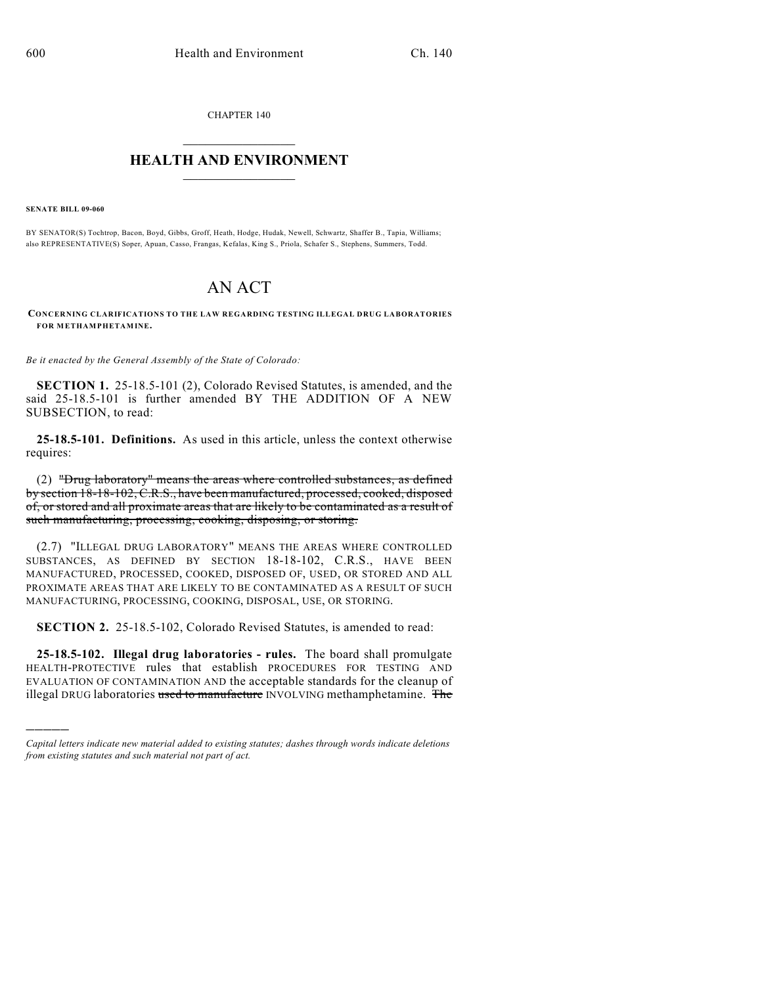CHAPTER 140

## $\overline{\phantom{a}}$  . The set of the set of the set of the set of the set of the set of the set of the set of the set of the set of the set of the set of the set of the set of the set of the set of the set of the set of the set o **HEALTH AND ENVIRONMENT**  $\_$

**SENATE BILL 09-060**

)))))

BY SENATOR(S) Tochtrop, Bacon, Boyd, Gibbs, Groff, Heath, Hodge, Hudak, Newell, Schwartz, Shaffer B., Tapia, Williams; also REPRESENTATIVE(S) Soper, Apuan, Casso, Frangas, Kefalas, King S., Priola, Schafer S., Stephens, Summers, Todd.

## AN ACT

**CONCERNING CLARIFICATIONS TO THE LAW REGARDING TESTING ILLEGAL DRUG LABORATORIES FOR METHAMPHETAMINE.**

*Be it enacted by the General Assembly of the State of Colorado:*

**SECTION 1.** 25-18.5-101 (2), Colorado Revised Statutes, is amended, and the said 25-18.5-101 is further amended BY THE ADDITION OF A NEW SUBSECTION, to read:

**25-18.5-101. Definitions.** As used in this article, unless the context otherwise requires:

(2) "Drug laboratory" means the areas where controlled substances, as defined by section 18-18-102, C.R.S., have been manufactured, processed, cooked, disposed of, or stored and all proximate areas that are likely to be contaminated as a result of such manufacturing, processing, cooking, disposing, or storing.

(2.7) "ILLEGAL DRUG LABORATORY" MEANS THE AREAS WHERE CONTROLLED SUBSTANCES, AS DEFINED BY SECTION 18-18-102, C.R.S., HAVE BEEN MANUFACTURED, PROCESSED, COOKED, DISPOSED OF, USED, OR STORED AND ALL PROXIMATE AREAS THAT ARE LIKELY TO BE CONTAMINATED AS A RESULT OF SUCH MANUFACTURING, PROCESSING, COOKING, DISPOSAL, USE, OR STORING.

**SECTION 2.** 25-18.5-102, Colorado Revised Statutes, is amended to read:

**25-18.5-102. Illegal drug laboratories - rules.** The board shall promulgate HEALTH-PROTECTIVE rules that establish PROCEDURES FOR TESTING AND EVALUATION OF CONTAMINATION AND the acceptable standards for the cleanup of illegal DRUG laboratories used to manufacture INVOLVING methamphetamine. The

*Capital letters indicate new material added to existing statutes; dashes through words indicate deletions from existing statutes and such material not part of act.*